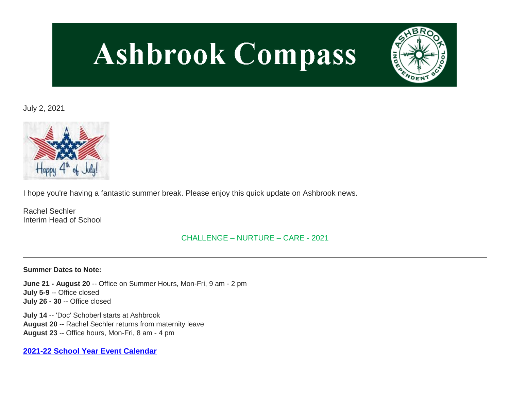# **Ashbrook Compass**



# July 2, 2021



I hope you're having a fantastic summer break. Please enjoy this quick update on Ashbrook news.

Rachel Sechler Interim Head of School

# CHALLENGE – NURTURE – CARE - 2021

#### **Summer Dates to Note:**

**June 21 - August 20** -- Office on Summer Hours, Mon-Fri, 9 am - 2 pm **July 5-9** -- Office closed **July 26 - 30** -- Office closed

**July 14** -- 'Doc' Schoberl starts at Ashbrook **August 20** -- Rachel Sechler returns from maternity leave **August 23** -- Office hours, Mon-Fri, 8 am - 4 pm

**[2021-22 School Year Event Calendar](http://link.mystudentsprogress.com/ls/click?upn=t3AI3kjK1Pyk9qPfHnOahelBVVSIlRAa3GeSLMbkINmgHr3guxrPuqfp-2Bh-2FJW4nCZ4g8Gi3XkGXC-2FKATZbsSvlLtGaxynoxi8rg7wuoRjJ9ogb5HbX999Eip-2FZE6wLdBt-2FZXHJBS6zquMLtzN9wyAf-2BwWQPV3rI3lDDknuQ1JHMBzJ8gUYT-2F7YzNEwZY9IsL01sHprQ-2FIDOi-2FxvxQxcWetx3uPiVsOO-2BTqPctwW7ytf9RkxC1x3UjTIEBtRaqxRocHrr-2BmciBR4-2BJ-2F9FRK9RIbCVijz3zpNIIcd4PIsUMddSSVNBf6Erlmv-2BHBcLMpY-2BXATDQ1ruaOReFDZmWYSBv8U-2FG-2FKOr0yEkAwqSdMzdcQ3gq4Z79RZNOTZP4nGap5-2B4nzc4nIf29OyD3NhvJHQaLkc85sE-2FfYbPaGyyk6H2FOzJRYThJmT37US6LpTrGNlh9HxVTLYe1LpjcNTBXNJsSKlp-2BAa-2BVuGTdE8v33fTt9-2BgR-2BE9tSlDPzhNHxWPZ2RZ535aLRz3SoCCiPZR3EABfh4FMKDRC4z2q-2Bvjvbtim7SOD4kDD2r5XYSDBe4a3bcI5fNds6iRAQWmj3uDnwn3-2B3tKuGNT1JKaRpJXKTgGLzWZLAnNUo4fvdQC77H83vaK-2BM8PCeLuljt-2FRAsnx0cP-2FGdRouESOyMOB5ORkT-2BH-2Bkw4hRRiiTCpe61BsZqpA-2Bu_Tfs_1PndbFfBoQGSZbxwXHHEexw3B2F0fG-2BUmuXm6a-2BX-2BzscwBgK6Evq-2BU6cDNuD-2BIBfDbLfHpJ6R6j-2B-2Bx3Qaikz-2FU1LROa2G-2B15DZRLAxuKE30XwaXbPJ4YMzoa-2BgX7GZi-2BGmltpd9yDRz2wt6QYAeM-2BW7dlUJ7G10hIGy5iVCPuP-2Fc84VYV4Uks4x2BbTStk0NvdHa9Pb31FvCwA3Kh3eUUKBscuoGOaqcbZjwRklR2mr-2BJA5z9l1yD5GevA-2FElqBLNT2q7ydFISbjxvhqB1EQZf0q8qhIxNZqfJubKIF-2BGBKk9g2uwLVEtOdOl2J9AGF8H2l2ZDaZE4Rhk2w2XItqc8IKNSBnM7gvivXRNsvCkDPw-2F4qlmEtFEuiz4a25upTwC4n1EVuik15s9qQ85JYR3KhrtOKs-2BScy45T-2FceLNns3flP06LCsH8v0cH8uZ76iw)**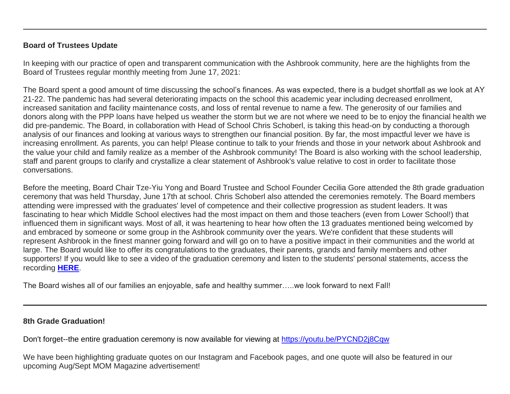### **Board of Trustees Update**

In keeping with our practice of open and transparent communication with the Ashbrook community, here are the highlights from the Board of Trustees regular monthly meeting from June 17, 2021:

The Board spent a good amount of time discussing the school's finances. As was expected, there is a budget shortfall as we look at AY 21-22. The pandemic has had several deteriorating impacts on the school this academic year including decreased enrollment, increased sanitation and facility maintenance costs, and loss of rental revenue to name a few. The generosity of our families and donors along with the PPP loans have helped us weather the storm but we are not where we need to be to enjoy the financial health we did pre-pandemic. The Board, in collaboration with Head of School Chris Schoberl, is taking this head-on by conducting a thorough analysis of our finances and looking at various ways to strengthen our financial position. By far, the most impactful lever we have is increasing enrollment. As parents, you can help! Please continue to talk to your friends and those in your network about Ashbrook and the value your child and family realize as a member of the Ashbrook community! The Board is also working with the school leadership, staff and parent groups to clarify and crystallize a clear statement of Ashbrook's value relative to cost in order to facilitate those conversations.

Before the meeting, Board Chair Tze-Yiu Yong and Board Trustee and School Founder Cecilia Gore attended the 8th grade graduation ceremony that was held Thursday, June 17th at school. Chris Schoberl also attended the ceremonies remotely. The Board members attending were impressed with the graduates' level of competence and their collective progression as student leaders. It was fascinating to hear which Middle School electives had the most impact on them and those teachers (even from Lower School!) that influenced them in significant ways. Most of all, it was heartening to hear how often the 13 graduates mentioned being welcomed by and embraced by someone or some group in the Ashbrook community over the years. We're confident that these students will represent Ashbrook in the finest manner going forward and will go on to have a positive impact in their communities and the world at large. The Board would like to offer its congratulations to the graduates, their parents, grands and family members and other supporters! If you would like to see a video of the graduation ceremony and listen to the students' personal statements, access the recording **[HERE](http://link.mystudentsprogress.com/ls/click?upn=dtxrd7XgLFKMZb8yFsgCgU1qcReoIVa-2FhEwbdhMTQqzLwv9qSpNsCYjRbh62X6kYM2zO_1PndbFfBoQGSZbxwXHHEexw3B2F0fG-2BUmuXm6a-2BX-2BzscwBgK6Evq-2BU6cDNuD-2BIBfDbLfHpJ6R6j-2B-2Bx3Qaikz-2FaiqhbDPIztZs2WU7QJ-2Bt-2FQtqGg1SbXnxBhR4C8O4QRoTul-2BZa-2BIz1M9IPUACR7ll792wdpy1InBzutgZuSldo0HTUkM161SV6GmS90wRRxJWNkhvQ39m9mR-2F6EMuxZJZL-2FGVbzSWyILwsXHdvoXFJLbQttuZ8FlnPAac-2BuvTjRtMYemaH8dwfOTI5zUFbuVZNRiEqRuA5vw5-2B2GYB1szp2NXsBmNLVC-2F-2BNQ4h-2BdaFnGGdcKlH8HSSaZqKwenddiToQaH7Q9uFJQYA-2FQqvS-2B-2F5IWYT5PCKk8Gegxv3iuFOQXmKquV-2Fbeo4Bu-2BiJVc0WjHGoI2oxcnee1q67sCp4ozQaouuMhHiQ5YJG3CTYp8159)**.

The Board wishes all of our families an enjoyable, safe and healthy summer…..we look forward to next Fall!

# **8th Grade Graduation!**

Don't forget--the entire graduation ceremony is now available for viewing at [https://youtu.be/PYCND2j8Cqw](http://link.mystudentsprogress.com/ls/click?upn=dtxrd7XgLFKMZb8yFsgCgU1qcReoIVa-2FhEwbdhMTQqzLwv9qSpNsCYjRbh62X6kYWVSR_1PndbFfBoQGSZbxwXHHEexw3B2F0fG-2BUmuXm6a-2BX-2BzscwBgK6Evq-2BU6cDNuD-2BIBfDbLfHpJ6R6j-2B-2Bx3Qaikz-2FWM-2Bq92SBQLmNmcgnoXzGEQdB3LnyPbb0N455DzJDVqmsMITyrpL0R0V9OhOAo8LEMShkV94iVce3PL-2FwxR-2FL2kvNbOPcaZ0RQIMpN3Y4UxOzzGG6EhakCZRjxU9zHF5w1DF3YGaYzWJMg7FWdvRSLuEVSKIG-2FqXop-2FV06mHqAK3P685RFp0njE0q30wyzs374EAi0xfdYwHgmIbxg0t3diMl1MeAIc62BeMeUgnXGyBULjA4byTvnrKsumeID-2BK5u9-2BL2HNE3qLekIBg7vpTqSdxul0B539qnrKqyQrTeQGbtj56kELVnvwmSYLOekovOKzMtRrqtY9VMHeBuPSb-2BXquYHMe2htTtq-2FtbJsQAHi)

We have been highlighting graduate quotes on our Instagram and Facebook pages, and one quote will also be featured in our upcoming Aug/Sept MOM Magazine advertisement!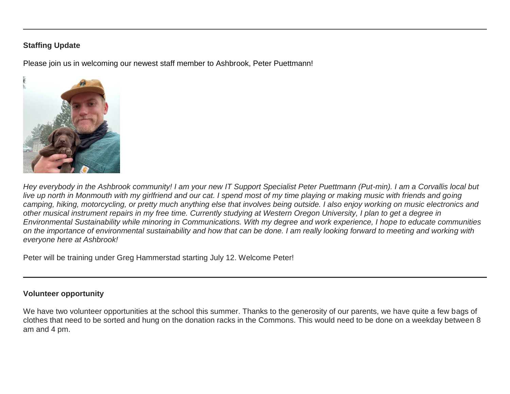## **Staffing Update**

Please join us in welcoming our newest staff member to Ashbrook, Peter Puettmann!



*Hey everybody in the Ashbrook community! I am your new IT Support Specialist Peter Puettmann (Put-min). I am a Corvallis local but live up north in Monmouth with my girlfriend and our cat. I spend most of my time playing or making music with friends and going camping, hiking, motorcycling, or pretty much anything else that involves being outside. I also enjoy working on music electronics and other musical instrument repairs in my free time. Currently studying at Western Oregon University, I plan to get a degree in Environmental Sustainability while minoring in Communications. With my degree and work experience, I hope to educate communities on the importance of environmental sustainability and how that can be done. I am really looking forward to meeting and working with everyone here at Ashbrook!*

Peter will be training under Greg Hammerstad starting July 12. Welcome Peter!

#### **Volunteer opportunity**

We have two volunteer opportunities at the school this summer. Thanks to the generosity of our parents, we have quite a few bags of clothes that need to be sorted and hung on the donation racks in the Commons. This would need to be done on a weekday between 8 am and 4 pm.